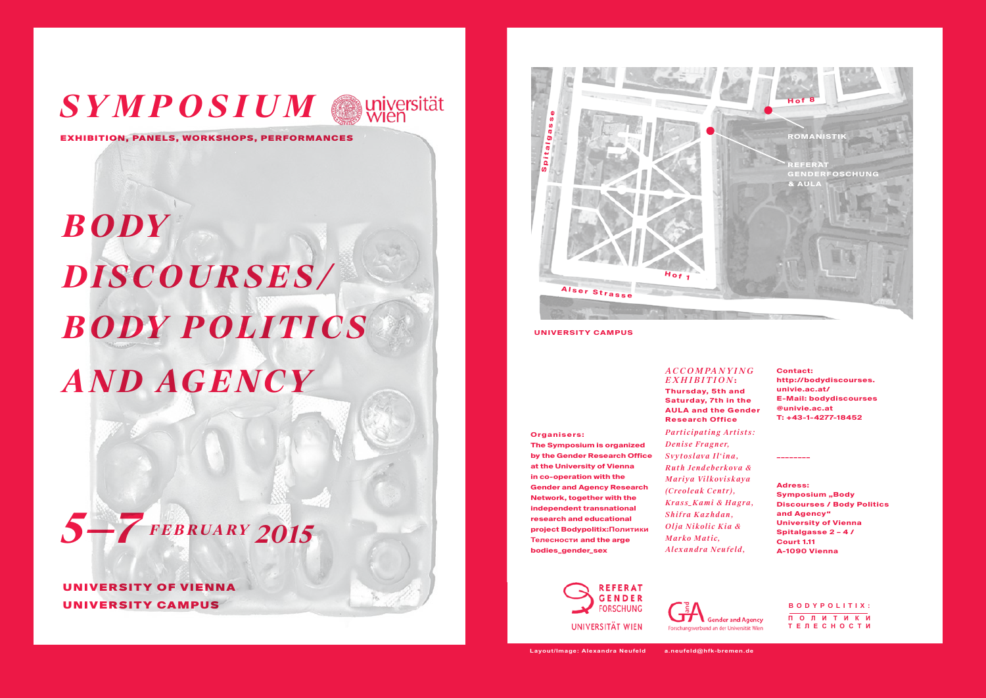## *SYMPOSIUM suniversität*

Exhibition, Panels, Workshops, Performances

# *B ody Discourses/ B ody P olitics and Agency*



University of Vienna University Campus



**University Campus**

**Organisers:**

#### *Accompan y in g*  $EXHIBITION:$

**Thursday, 5th and Saturday, 7th in the AULA and the Gender Research Office**

### *Participating Artists:*

*Denise Fragner, Svytoslava Il'ina, Ruth Jendeberkova & Mariya Vilkoviskaya (Creoleak Centr), Krass\_Kami & Hagra, Shifra Kazhdan, Olja Nikolic Kia & Marko Matic, Alexandra Neufeld,*

**Contact: http://bodydiscourses. univie.ac.at/ E-Mail: bodydiscourses @univie.ac.at T: +43-1-4277-18452**

**\_\_\_\_\_\_\_\_**

**Adress:**

**Symposium "Body Discourses / Body Politics** 

**and Agency" University of Vienna Spitalgasse 2 – 4 / Court 1.11 A-1090 Vienna**

**The Symposium is organized by the Gender Research Office at the University of Vienna in co-operation with the Gender and Agency Research Network, together with the independent transnational research and educational project Bodypolitix:Политики Телесности and the arge bodies\_gender\_sex**



**Gender and Agency** nd an der Universität Wien

#### **Bodypolitix: ПОЛИТИКИ ТЕЛЕСНОСТИ**

**Layout/Image: Alexandra Neufeld a.neufeld@hfk-bremen.de**

UNIVERSITÄT WIEN

**DEEFDAT GENDER FORSCHUNG**